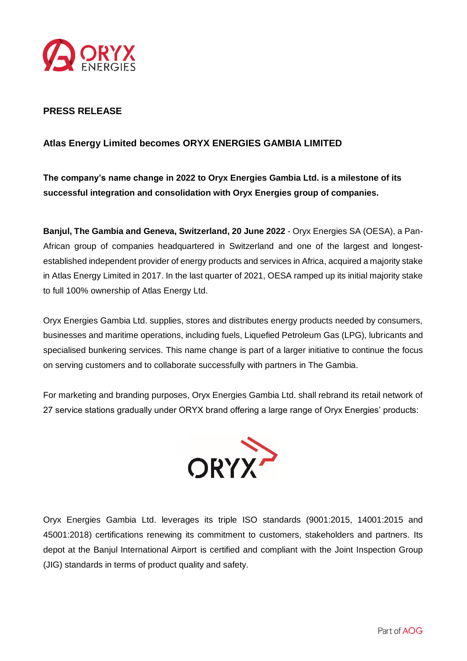

## **PRESS RELEASE**

## **Atlas Energy Limited becomes ORYX ENERGIES GAMBIA LIMITED**

**The company's name change in 2022 to Oryx Energies Gambia Ltd. is a milestone of its successful integration and consolidation with Oryx Energies group of companies.** 

**Banjul, The Gambia and Geneva, Switzerland, 20 June 2022** - Oryx Energies SA (OESA), a Pan-African group of companies headquartered in Switzerland and one of the largest and longestestablished independent provider of energy products and services in Africa, acquired a majority stake in Atlas Energy Limited in 2017. In the last quarter of 2021, OESA ramped up its initial majority stake to full 100% ownership of Atlas Energy Ltd.

Oryx Energies Gambia Ltd. supplies, stores and distributes energy products needed by consumers, businesses and maritime operations, including fuels, Liquefied Petroleum Gas (LPG), lubricants and specialised bunkering services. This name change is part of a larger initiative to continue the focus on serving customers and to collaborate successfully with partners in The Gambia.

For marketing and branding purposes, Oryx Energies Gambia Ltd. shall rebrand its retail network of 27 service stations gradually under ORYX brand offering a large range of Oryx Energies' products:



Oryx Energies Gambia Ltd. leverages its triple ISO standards (9001:2015, 14001:2015 and 45001:2018) certifications renewing its commitment to customers, stakeholders and partners. Its depot at the Banjul International Airport is certified and compliant with the Joint Inspection Group (JIG) standards in terms of product quality and safety.